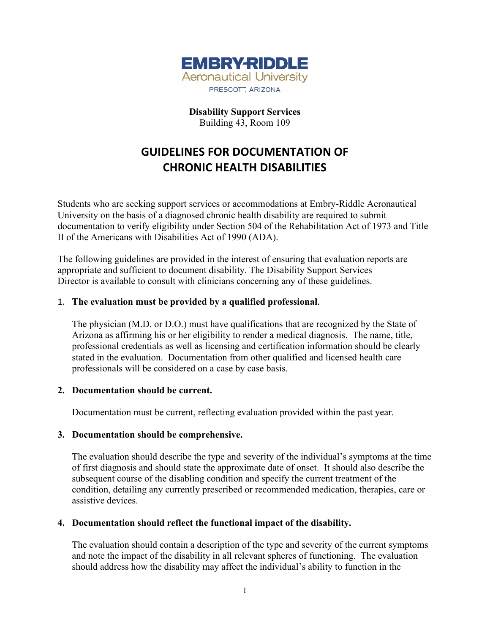

**Disability Support Services** Building 43, Room 109

# **GUIDELINES FOR DOCUMENTATION OF CHRONIC HEALTH DISABILITIES**

Students who are seeking support services or accommodations at Embry-Riddle Aeronautical University on the basis of a diagnosed chronic health disability are required to submit documentation to verify eligibility under Section 504 of the Rehabilitation Act of 1973 and Title II of the Americans with Disabilities Act of 1990 (ADA).

The following guidelines are provided in the interest of ensuring that evaluation reports are appropriate and sufficient to document disability. The Disability Support Services Director is available to consult with clinicians concerning any of these guidelines.

### 1. **The evaluation must be provided by a qualified professional**.

The physician (M.D. or D.O.) must have qualifications that are recognized by the State of Arizona as affirming his or her eligibility to render a medical diagnosis. The name, title, professional credentials as well as licensing and certification information should be clearly stated in the evaluation. Documentation from other qualified and licensed health care professionals will be considered on a case by case basis.

#### **2. Documentation should be current.**

Documentation must be current, reflecting evaluation provided within the past year.

#### **3. Documentation should be comprehensive.**

The evaluation should describe the type and severity of the individual's symptoms at the time of first diagnosis and should state the approximate date of onset. It should also describe the subsequent course of the disabling condition and specify the current treatment of the condition, detailing any currently prescribed or recommended medication, therapies, care or assistive devices.

## **4. Documentation should reflect the functional impact of the disability.**

The evaluation should contain a description of the type and severity of the current symptoms and note the impact of the disability in all relevant spheres of functioning. The evaluation should address how the disability may affect the individual's ability to function in the